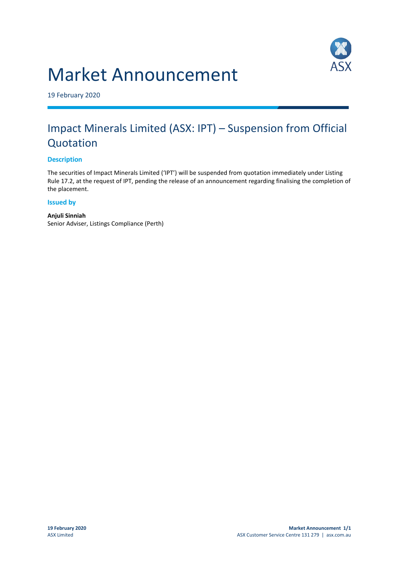# Market Announcement



19 February 2020

### Impact Minerals Limited (ASX: IPT) – Suspension from Official Quotation

#### **Description**

The securities of Impact Minerals Limited ('IPT') will be suspended from quotation immediately under Listing Rule 17.2, at the request of IPT, pending the release of an announcement regarding finalising the completion of the placement.

#### **Issued by**

**Anjuli Sinniah** Senior Adviser, Listings Compliance (Perth)